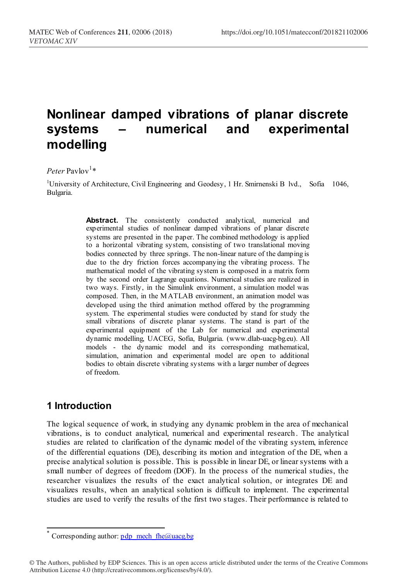# **Nonlinear damped vibrations of planar discrete systems – numerical and experimental modelling**

### $Peter$  Pavlov<sup>1</sup>\*

<sup>1</sup>University of Architecture, Civil Engineering and Geodesy, 1 Hr. Smirnenski B lvd., Sofia 1046, Bulgaria.

> Abstract. The consistently conducted analytical, numerical and experimental studies of nonlinear damped vibrations of planar discrete systems are presented in the paper. The combined methodology is applied to a horizontal vibrating system, consisting of two translational moving bodies connected by three springs. The non-linear nature of the damping is due to the dry friction forces accompanying the vibrating process. The mathematical model of the vibrating system is composed in a matrix form by the second order Lagrange equations. Numerical studies are realized in two ways. Firstly, in the Simulink environment, a simulation model was composed. Then, in the M ATLAB environment, an animation model was developed using the third animation method offered by the programming system. The experimental studies were conducted by stand for study the small vibrations of discrete planar systems. The stand is part of the experimental equipment of the Lab for numerical and experimental dynamic modelling, UACEG, Sofia, Bulgaria. (www.dlab-uacg-bg.eu). All models - the dynamic model and its corresponding mathematical, simulation, animation and experimental model are open to additional bodies to obtain discrete vibrating systems with a larger number of degrees of freedom.

# **1 Introduction**

l

The logical sequence of work, in studying any dynamic problem in the area of mechanical vibrations, is to conduct analytical, numerical and experimental research. The analytical studies are related to clarification of the dynamic model of the vibrating system, inference of the differential equations (DE), describing its motion and integration of the DE, when a precise analytical solution is possible. This is possible in linear DE, or linear systems with a small number of degrees of freedom (DOF). In the process of the numerical studies, the researcher visualizes the results of the exact analytical solution, or integrates DE and visualizes results, when an analytical solution is difficult to implement. The experimental studies are used to verify the results of the first two s tages. Their performance is related to

Corresponding author:  $pdp$  mech fhe@uacg.bg

<sup>©</sup> The Authors, published by EDP Sciences. This is an open access article distributed under the terms of the Creative Commons Attribution License 4.0 (http://creativecommons.org/licenses/by/4.0/).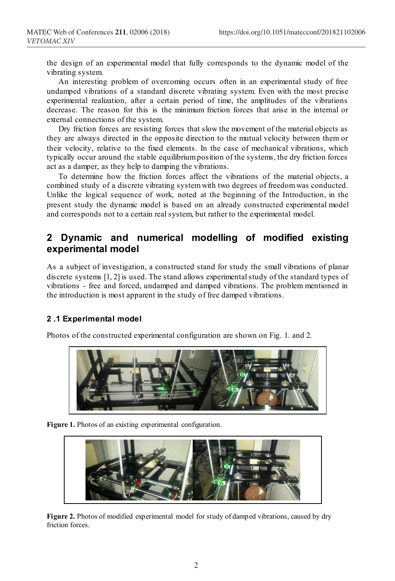the design of an experimental model that fully corresponds to the dynamic model of the vibrating system.

An interesting problem of overcoming occurs often in an experimental study of free undamped vibrations of a standard discrete vibrating system. Even with the most precise experimental realization, after a certain period of time, the amplitudes of the vibrations decrease. The reason for this is the minimum friction forces that arise in the internal or external connections of the system.

Dry friction forces are resisting forces that slow the movement of the material objects as they are always directed in the opposite direction to the mutual velocity between them or their velocity, relative to the fixed elements. In the case of mechanical vibrations, which typically occur around the stable equilibrium position of the systems, the dry friction forces act as a damper, as they help to damping the vibrations.

To determine how the friction forces affect the vibrations of the material objects, a combined study of a discrete vibrating system with two degrees of freedom was conducted. Unlike the logical sequence of work, noted at the beginning of the Introduction, in the present study the dynamic model is based on an already constructed experimental model and corresponds not to a certain real system, but rather to the experimental model.

# **2 Dynamic and numerical modelling of modified existing experimental model**

As a subject of investigation, a constructed stand for study the small vibrations of planar discrete systems [1, 2] is used. The stand allows experimental study of the standard types of vibrations - free and forced, undamped and damped vibrations. The problem mentioned in the introduction is most apparent in the study of free damped vibrations.

#### **2 .1 Experimental model**

Photos of the constructed experimental configuration are shown on Fig. 1. and 2.



Figure 1. Photos of an existing experimental configuration.



**Figure 2.** Photos of modified experimental model for study of damped vibrations, caused by dry friction forces.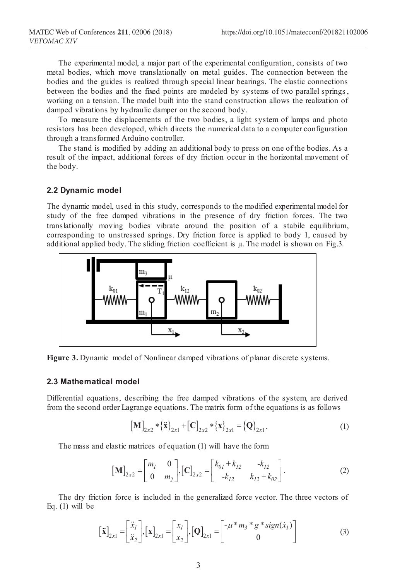The experimental model, a major part of the experimental configuration, consists of two metal bodies, which move translationally on metal guides. The connection between the bodies and the guides is realized through special linear bearings. The elastic connections between the bodies and the fixed points are modeled by systems of two parallel springs, working on a tension. The model built into the stand construction allows the realization of damped vibrations by hydraulic damper on the second body.

To measure the displacements of the two bodies, a light system of lamps and photo resistors has been developed, which directs the numerical data to a computer configuration through a transformed Arduino controller.

The stand is modified by adding an additional body to press on one of the bodies. As a result of the impact, additional forces of dry friction occur in the horizontal movement of the body.

#### **2.2 Dynamic model**

The dynamic model, used in this study, corresponds to the modified experimental model for study of the free damped vibrations in the presence of dry friction forces. The two translationally moving bodies vibrate around the position of a stabile equilibrium, corresponding to unstressed springs. Dry friction force is applied to body 1, caused by additional applied body. The sliding friction coefficient is μ. The model is shown on Fig.3.



**Figure 3.** Dynamic model of Nonlinear damped vibrations of planar discrete systems.

#### **2.3 Mathematical model**

Differential equations, describing the free damped vibrations of the system, are derived from the second order Lagrange equations. The matrix form of the equations is as follows

$$
\left[\mathbf{M}\right]_{2x2} * {\{\mathbf{\ddot{x}}\}}_{2x1} + \left[\mathbf{C}\right]_{2x2} * {\{\mathbf{x}\}}_{2x1} = {\{\mathbf{Q}\}}_{2x1}.
$$
 (1)

The mass and elastic matrices of equation (1) will have the form

$$
\begin{bmatrix} \mathbf{M} \end{bmatrix}_{2x2} = \begin{bmatrix} m_1 & 0 \\ 0 & m_2 \end{bmatrix}, \begin{bmatrix} \mathbf{C} \end{bmatrix}_{2x2} = \begin{bmatrix} k_{01} + k_{12} & -k_{12} \\ -k_{12} & k_{12} + k_{02} \end{bmatrix}.
$$
 (2)

The dry friction force is included in the generalized force vector. The three vectors of Eq. (1) will be

$$
\begin{bmatrix} \ddot{\mathbf{x}} \end{bmatrix}_{2x1} = \begin{bmatrix} \ddot{x}_I \\ \ddot{x}_2 \end{bmatrix}, \begin{bmatrix} \mathbf{x} \end{bmatrix}_{2x1} = \begin{bmatrix} x_I \\ x_2 \end{bmatrix}, \begin{bmatrix} \mathbf{Q} \end{bmatrix}_{2x1} = \begin{bmatrix} -\mu * m_3 * g * sign(\dot{x}_I) \\ 0 \end{bmatrix}
$$
(3)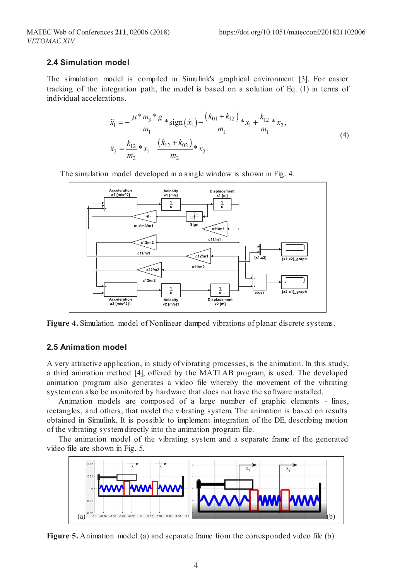#### **2.4 Simulation model**

The simulation model is compiled in Simulink's graphical environment [3]. For easier tracking of the integration path, the model is based on a solution of Eq. (1) in terms of individual accelerations.

$$
\ddot{x}_1 = -\frac{\mu * m_3 * g}{m_1} * sign(\dot{x}_1) - \frac{(k_{01} + k_{12})}{m_1} * x_1 + \frac{k_{12}}{m_1} * x_2,
$$
\n
$$
\ddot{x}_2 = \frac{k_{12}}{m_2} * x_1 - \frac{(k_{12} + k_{02})}{m_2} * x_2.
$$
\n(4)

The simulation model developed in a single window is shown in Fig. 4.



**Figure 4.** Simulation model of Nonlinear damped vibrations of planar discrete systems.

#### **2.5 Animation model**

A very attractive application, in study of vibrating processes, is the animation. In this study, a third animation method [4], offered by the MATLAB program, is used. The developed animation program also generates a video file whereby the movement of the vibrating system can also be monitored by hardware that does not have the software installed.

Animation models are composed of a large number of graphic elements - lines, rectangles, and others, that model the vibrating system. The animation is based on results obtained in Simulink. It is possible to implement integration of the DE, describing motion of the vibrating system directly into the animation program file.

The animation model of the vibrating system and a separate frame of the generated video file are shown in Fig. 5.



**Figure 5.** Animation model (a) and separate frame from the corresponded video file (b).